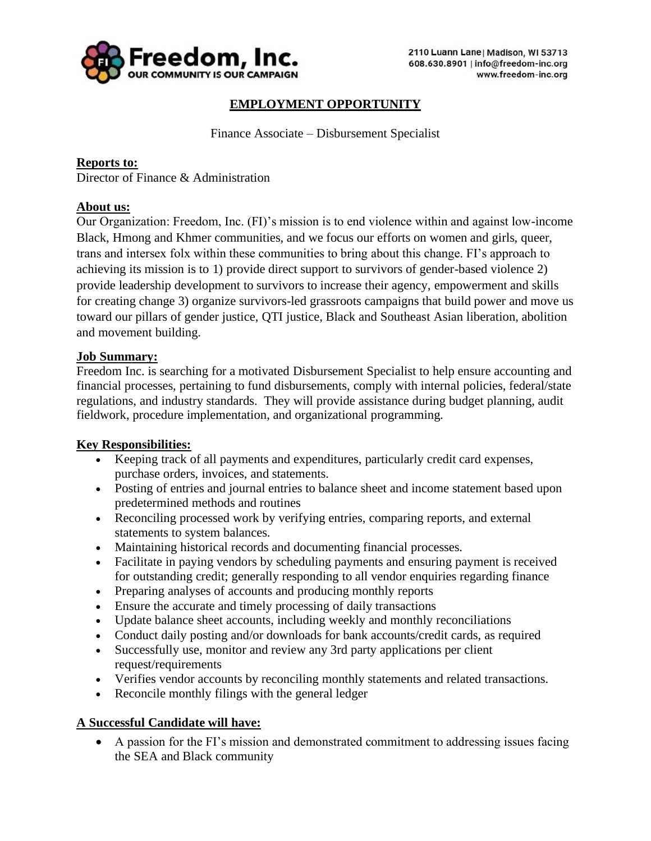

# **EMPLOYMENT OPPORTUNITY**

Finance Associate – Disbursement Specialist

## **Reports to:**

Director of Finance & Administration

## **About us:**

Our Organization: Freedom, Inc. (FI)'s mission is to end violence within and against low-income Black, Hmong and Khmer communities, and we focus our efforts on women and girls, queer, trans and intersex folx within these communities to bring about this change. FI's approach to achieving its mission is to 1) provide direct support to survivors of gender-based violence 2) provide leadership development to survivors to increase their agency, empowerment and skills for creating change 3) organize survivors-led grassroots campaigns that build power and move us toward our pillars of gender justice, QTI justice, Black and Southeast Asian liberation, abolition and movement building.

### **Job Summary:**

Freedom Inc. is searching for a motivated Disbursement Specialist to help ensure accounting and financial processes, pertaining to fund disbursements, comply with internal policies, federal/state regulations, and industry standards. They will provide assistance during budget planning, audit fieldwork, procedure implementation, and organizational programming.

#### **Key Responsibilities:**

- Keeping track of all payments and expenditures, particularly credit card expenses, purchase orders, invoices, and statements.
- Posting of entries and journal entries to balance sheet and income statement based upon predetermined methods and routines
- Reconciling processed work by verifying entries, comparing reports, and external statements to system balances.
- Maintaining historical records and documenting financial processes.
- Facilitate in paying vendors by scheduling payments and ensuring payment is received for outstanding credit; generally responding to all vendor enquiries regarding finance
- Preparing analyses of accounts and producing monthly reports
- Ensure the accurate and timely processing of daily transactions
- Update balance sheet accounts, including weekly and monthly reconciliations
- Conduct daily posting and/or downloads for bank accounts/credit cards, as required
- Successfully use, monitor and review any 3rd party applications per client request/requirements
- Verifies vendor accounts by reconciling monthly statements and related transactions.
- Reconcile monthly filings with the general ledger

## **A Successful Candidate will have:**

• A passion for the FI's mission and demonstrated commitment to addressing issues facing the SEA and Black community